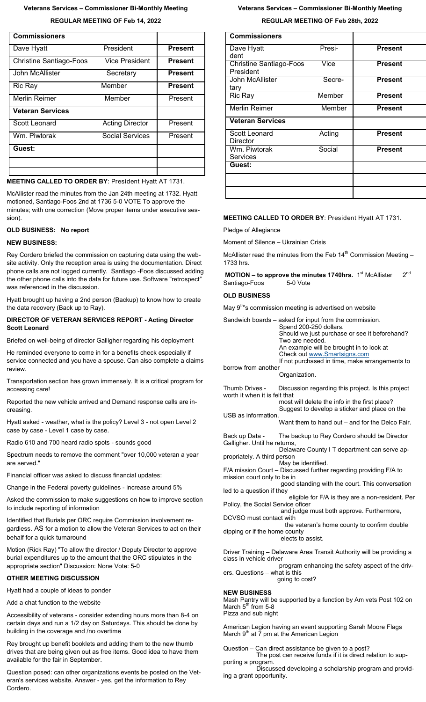#### **Veterans Services – Commissioner Bi-Monthly Meeting**

**REGULAR MEETING OF Feb 14, 2022**

| <b>Commissioners</b>           |                        |                |
|--------------------------------|------------------------|----------------|
| Dave Hyatt                     | President              | <b>Present</b> |
| <b>Christine Santiago-Foos</b> | Vice President         | <b>Present</b> |
| John McAllister                | Secretary              | <b>Present</b> |
| Ric Ray                        | Member                 | <b>Present</b> |
| Merlin Reimer                  | Member                 | Present        |
| <b>Veteran Services</b>        |                        |                |
| Scott Leonard                  | <b>Acting Director</b> | Present        |
| Wm. Piwtorak                   | <b>Social Services</b> | Present        |
| Guest:                         |                        |                |
|                                |                        |                |
|                                |                        |                |

**MEETING CALLED TO ORDER BY**: President Hyatt AT 1731.

McAllister read the minutes from the Jan 24th meeting at 1732. Hyatt motioned, Santiago-Foos 2nd at 1736 5-0 VOTE To approve the minutes; with one correction (Move proper items under executive session).

# **OLD BUSINESS: No report**

#### **NEW BUSINESS:**

Rey Cordero briefed the commission on capturing data using the website activity. Only the reception area is using the documentation. Direct phone calls are not logged currently. Santiago -Foos discussed adding the other phone calls into the data for future use. Software "retrospect" was referenced in the discussion.

Hyatt brought up having a 2nd person (Backup) to know how to create the data recovery (Back up to Ray).

#### **DIRECTOR OF VETERAN SERVICES REPORT - Acting Director Scott Leonard**

Briefed on well-being of director Galligher regarding his deployment

He reminded everyone to come in for a benefits check especially if service connected and you have a spouse. Can also complete a claims review.

Transportation section has grown immensely. It is a critical program for accessing care!

Reported the new vehicle arrived and Demand response calls are increasing.

Hyatt asked - weather, what is the policy? Level 3 - not open Level 2 case by case - Level 1 case by case.

Radio 610 and 700 heard radio spots - sounds good

Spectrum needs to remove the comment "over 10,000 veteran a year are served."

Financial officer was asked to discuss financial updates:

Change in the Federal poverty guidelines - increase around 5%

Asked the commission to make suggestions on how to improve section to include reporting of information

Identified that Burials per ORC require Commission involvement regardless. AS for a motion to allow the Veteran Services to act on their behalf for a quick turnaround

Motion (Rick Ray) "To allow the director / Deputy Director to approve burial expenditures up to the amount that the ORC stipulates in the appropriate section" Discussion: None Vote: 5-0

#### **OTHER MEETING DISCUSSION**

Hyatt had a couple of ideas to ponder

Add a chat function to the website

Accessibility of veterans - consider extending hours more than 8-4 on certain days and run a 1/2 day on Saturdays. This should be done by building in the coverage and /no overtime

Rey brought up benefit booklets and adding them to the new thumb drives that are being given out as free items. Good idea to have them available for the fair in September.

Question posed: can other organizations events be posted on the Veteran's services website. Answer - yes, get the information to Rey Cordero.

#### **Veterans Services – Commissioner Bi-Monthly Meeting**

**REGULAR MEETING OF Feb 28th, 2022**

| <b>Commissioners</b>                        |        |                |
|---------------------------------------------|--------|----------------|
| Dave Hyatt<br>dent                          | Presi- | <b>Present</b> |
| <b>Christine Santiago-Foos</b><br>President | Vice   | <b>Present</b> |
| John McAllister<br>tary                     | Secre- | <b>Present</b> |
| Ric Ray                                     | Member | <b>Present</b> |
| <b>Merlin Reimer</b>                        | Member | <b>Present</b> |
| <b>Veteran Services</b>                     |        |                |
| Scott Leonard<br>Director                   | Acting | <b>Present</b> |
| Wm. Piwtorak<br><b>Services</b>             | Social | <b>Present</b> |
| Guest:                                      |        |                |
|                                             |        |                |
|                                             |        |                |

#### **MEETING CALLED TO ORDER BY**: President Hyatt AT 1731.

Pledge of Allegiance

Moment of Silence – Ukrainian Crisis

McAllister read the minutes from the Feb 14<sup>th</sup> Commission Meeting -1733 hrs.

**MOTION – to approve the minutes 1740hrs.** 1<sup>st</sup> McAllister 2<sup>nd</sup> Santiago-Foos 5-0 Vote

# **OLD BUSINESS**

May 9<sup>th</sup>'s commission meeting is advertised on website

|                                   | Sandwich boards – asked for input from the commission.<br>Spend 200-250 dollars.<br>Should we just purchase or see it beforehand?<br>Two are needed.<br>An example will be brought in to look at<br>Check out www.Smartsigns.com<br>If not purchased in time, make arrangements to |
|-----------------------------------|------------------------------------------------------------------------------------------------------------------------------------------------------------------------------------------------------------------------------------------------------------------------------------|
| borrow from another               | Organization.                                                                                                                                                                                                                                                                      |
| worth it when it is felt that     | Thumb Drives - Discussion regarding this project. Is this project<br>most will delete the info in the first place?<br>Suggest to develop a sticker and place on the                                                                                                                |
| USB as information.               |                                                                                                                                                                                                                                                                                    |
|                                   | Want them to hand out – and for the Delco Fair.                                                                                                                                                                                                                                    |
| Galligher. Until he returns,      | Back up Data - The backup to Rey Cordero should be Director<br>Delaware County I T department can serve ap-                                                                                                                                                                        |
| propriately. A third person       |                                                                                                                                                                                                                                                                                    |
|                                   | May be identified.                                                                                                                                                                                                                                                                 |
| mission court only to be in       | F/A mission Court - Discussed further regarding providing F/A to                                                                                                                                                                                                                   |
| led to a question if they         | good standing with the court. This conversation                                                                                                                                                                                                                                    |
|                                   | eligible for F/A is they are a non-resident. Per                                                                                                                                                                                                                                   |
| Policy, the Social Service oficer |                                                                                                                                                                                                                                                                                    |
|                                   | and judge must both approve. Furthermore,                                                                                                                                                                                                                                          |
| DCVSO must contact with           |                                                                                                                                                                                                                                                                                    |
|                                   | the veteran's home county to confirm double                                                                                                                                                                                                                                        |
| dipping or if the home county     | elects to assist.                                                                                                                                                                                                                                                                  |
| class in vehicle driver           | Driver Training – Delaware Area Transit Authority will be providing a                                                                                                                                                                                                              |
| ers. Questions – what is this     | program enhancing the safety aspect of the driv-                                                                                                                                                                                                                                   |
|                                   | going to cost?                                                                                                                                                                                                                                                                     |

#### **NEW BUSINESS**

Mash Pantry will be supported by a function by Am vets Post 102 on March 5<sup>th</sup> from 5-8 Pizza and sub night

American Legion having an event supporting Sarah Moore Flags March  $9<sup>th</sup>$  at  $\overline{7}$  pm at the American Legion

Question – Can direct assistance be given to a post? The post can receive funds if it is direct relation to supporting a program.

 Discussed developing a scholarship program and providing a grant opportunity.